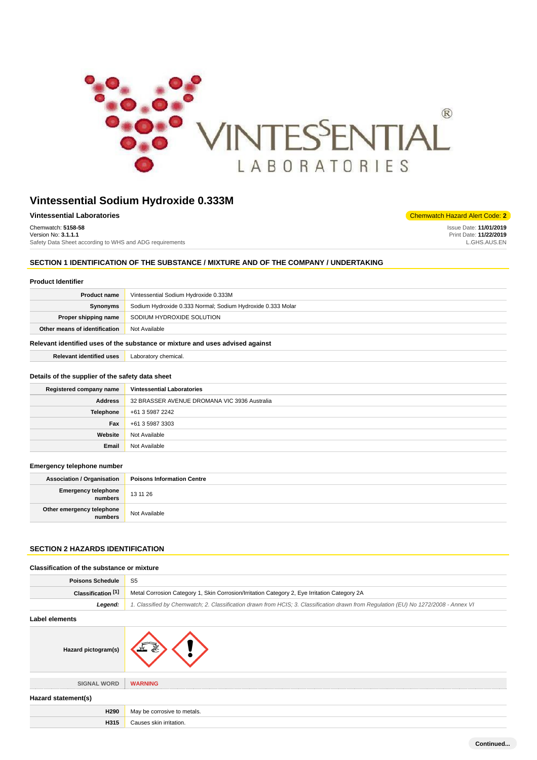

| <b>Chemwatch Hazard Alert Code: 2</b> |
|---------------------------------------|
| Issue Date: 11/01/2019                |
| Print Date: 11/22/2019                |
| GHS.AUS.EN                            |
|                                       |

## **SECTION 1 IDENTIFICATION OF THE SUBSTANCE / MIXTURE AND OF THE COMPANY / UNDERTAKING**

## **Product Identifier**

| <b>Product name</b>                                                           | Vintessential Sodium Hydroxide 0.333M                       |
|-------------------------------------------------------------------------------|-------------------------------------------------------------|
| Synonyms                                                                      | Sodium Hydroxide 0.333 Normal; Sodium Hydroxide 0.333 Molar |
| Proper shipping name                                                          | SODIUM HYDROXIDE SOLUTION                                   |
| Other means of identification                                                 | Not Available                                               |
| Relevant identified uses of the substance or mixture and uses advised against |                                                             |

**Relevant identified uses** Laboratory chemical.

#### **Details of the supplier of the safety data sheet**

| Registered company name | <b>Vintessential Laboratories</b>            |
|-------------------------|----------------------------------------------|
| <b>Address</b>          | 32 BRASSER AVENUE DROMANA VIC 3936 Australia |
| Telephone               | +61 3 5987 2242                              |
| Fax                     | +61 3 5987 3303                              |
| Website                 | Not Available                                |
| Email                   | Not Available                                |

#### **Emergency telephone number**

| <b>Association / Organisation</b>    | <b>Poisons Information Centre</b> |
|--------------------------------------|-----------------------------------|
| Emergency telephone<br>numbers       | 13 11 26                          |
| Other emergency telephone<br>numbers | Not Available                     |

# **SECTION 2 HAZARDS IDENTIFICATION**

| Classification of the substance or mixture |                                                                                                                                     |
|--------------------------------------------|-------------------------------------------------------------------------------------------------------------------------------------|
| <b>Poisons Schedule</b>                    | S <sub>5</sub>                                                                                                                      |
| Classification <sup>[1]</sup>              | Metal Corrosion Category 1, Skin Corrosion/Irritation Category 2, Eye Irritation Category 2A                                        |
| Legend:                                    | 1. Classified by Chemwatch; 2. Classification drawn from HCIS; 3. Classification drawn from Regulation (EU) No 1272/2008 - Annex VI |
| Label elements                             |                                                                                                                                     |
| Hazard pictogram(s)                        |                                                                                                                                     |
| <b>SIGNAL WORD</b>                         | <b>WARNING</b>                                                                                                                      |
| Hazard statement(s)                        |                                                                                                                                     |
| H290                                       | May be corrosive to metals.                                                                                                         |
| H315                                       | Causes skin irritation.                                                                                                             |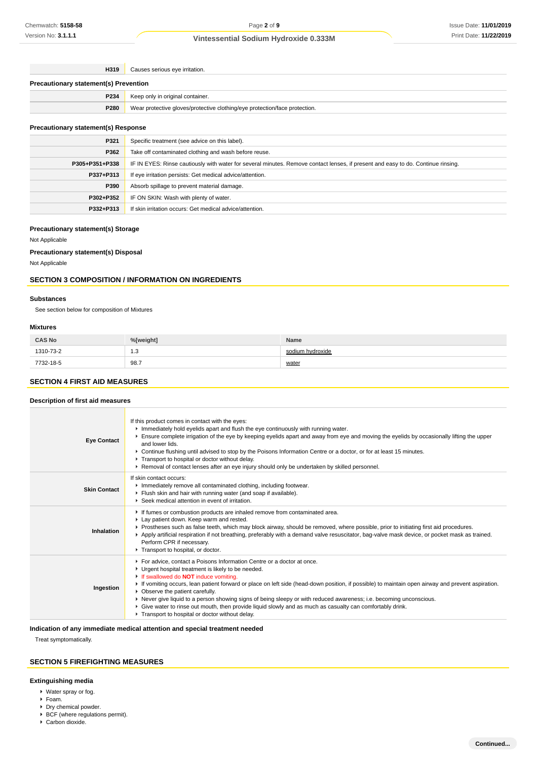**H319** Causes serious eye irritation.

| <b>Precautionary statement(s) Prevention</b> |                                                                            |
|----------------------------------------------|----------------------------------------------------------------------------|
| <b>P234</b>                                  | Keep only in original container.                                           |
| <b>P280</b>                                  | Wear protective gloves/protective clothing/eye protection/face protection. |

## **Precautionary statement(s) Response**

| P321           | Specific treatment (see advice on this label).                                                                                   |
|----------------|----------------------------------------------------------------------------------------------------------------------------------|
| P362           | Take off contaminated clothing and wash before reuse.                                                                            |
| P305+P351+P338 | IF IN EYES: Rinse cautiously with water for several minutes. Remove contact lenses, if present and easy to do. Continue rinsing. |
| P337+P313      | If eye irritation persists: Get medical advice/attention.                                                                        |
| P390           | Absorb spillage to prevent material damage.                                                                                      |
| P302+P352      | IF ON SKIN: Wash with plenty of water.                                                                                           |
| P332+P313      | If skin irritation occurs: Get medical advice/attention.                                                                         |

### **Precautionary statement(s) Storage**

Not Applicable

### **Precautionary statement(s) Disposal**

Not Applicable

## **SECTION 3 COMPOSITION / INFORMATION ON INGREDIENTS**

#### **Substances**

See section below for composition of Mixtures

#### **Mixtures**

| <b>CAS No</b> | %[weight] | Name             |
|---------------|-----------|------------------|
| 1310-73-2     | 1.3       | sodium hvdroxide |
| 7732-18-5     | 98.7      | water            |

# **SECTION 4 FIRST AID MEASURES**

### **Description of first aid measures**

| <b>Eye Contact</b>  | If this product comes in contact with the eyes:<br>Inmediately hold eyelids apart and flush the eye continuously with running water.<br>Ensure complete irrigation of the eye by keeping eyelids apart and away from eye and moving the eyelids by occasionally lifting the upper<br>and lower lids.<br>▶ Continue flushing until advised to stop by the Poisons Information Centre or a doctor, or for at least 15 minutes.<br>Transport to hospital or doctor without delay.<br>▶ Removal of contact lenses after an eye injury should only be undertaken by skilled personnel.                                                                          |
|---------------------|------------------------------------------------------------------------------------------------------------------------------------------------------------------------------------------------------------------------------------------------------------------------------------------------------------------------------------------------------------------------------------------------------------------------------------------------------------------------------------------------------------------------------------------------------------------------------------------------------------------------------------------------------------|
| <b>Skin Contact</b> | If skin contact occurs:<br>Inmediately remove all contaminated clothing, including footwear.<br>Flush skin and hair with running water (and soap if available).<br>▶ Seek medical attention in event of irritation.                                                                                                                                                                                                                                                                                                                                                                                                                                        |
| Inhalation          | If fumes or combustion products are inhaled remove from contaminated area.<br>Lay patient down. Keep warm and rested.<br>▶ Prostheses such as false teeth, which may block airway, should be removed, where possible, prior to initiating first aid procedures.<br>▶ Apply artificial respiration if not breathing, preferably with a demand valve resuscitator, bag-valve mask device, or pocket mask as trained.<br>Perform CPR if necessary.<br>Transport to hospital, or doctor.                                                                                                                                                                       |
| Ingestion           | For advice, contact a Poisons Information Centre or a doctor at once.<br>Urgent hospital treatment is likely to be needed.<br>If swallowed do <b>NOT</b> induce vomiting.<br>► If vomiting occurs, lean patient forward or place on left side (head-down position, if possible) to maintain open airway and prevent aspiration.<br>• Observe the patient carefully.<br>▶ Never give liquid to a person showing signs of being sleepy or with reduced awareness; i.e. becoming unconscious.<br>• Give water to rinse out mouth, then provide liquid slowly and as much as casualty can comfortably drink.<br>Transport to hospital or doctor without delay. |

## **Indication of any immediate medical attention and special treatment needed**

Treat symptomatically.

# **SECTION 5 FIREFIGHTING MEASURES**

### **Extinguishing media**

- Water spray or fog.
- Foam.
- Dry chemical powder.
- $\blacktriangleright$  BCF (where regulations permit).
- ▶ Carbon dioxide.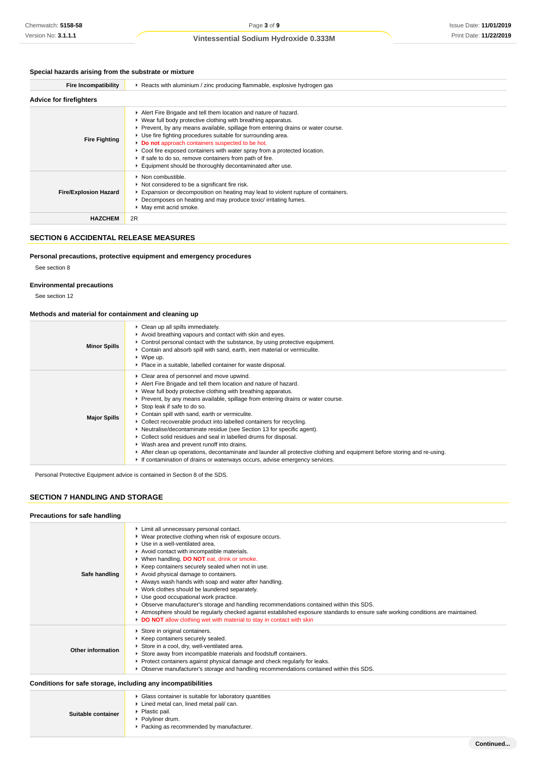## **Special hazards arising from the substrate or mixture**

| <b>Fire Incompatibility</b>    | ► Reacts with aluminium / zinc producing flammable, explosive hydrogen gas                                                                                                                                                                                                                                                                                                                                                                                                                                                                     |  |
|--------------------------------|------------------------------------------------------------------------------------------------------------------------------------------------------------------------------------------------------------------------------------------------------------------------------------------------------------------------------------------------------------------------------------------------------------------------------------------------------------------------------------------------------------------------------------------------|--|
| <b>Advice for firefighters</b> |                                                                                                                                                                                                                                                                                                                                                                                                                                                                                                                                                |  |
| <b>Fire Fighting</b>           | Alert Fire Brigade and tell them location and nature of hazard.<br>► Wear full body protective clothing with breathing apparatus.<br>▶ Prevent, by any means available, spillage from entering drains or water course.<br>• Use fire fighting procedures suitable for surrounding area.<br>Do not approach containers suspected to be hot.<br>► Cool fire exposed containers with water spray from a protected location.<br>If safe to do so, remove containers from path of fire.<br>Equipment should be thoroughly decontaminated after use. |  |
| <b>Fire/Explosion Hazard</b>   | • Non combustible.<br>▶ Not considered to be a significant fire risk.<br>Expansion or decomposition on heating may lead to violent rupture of containers.<br>▶ Decomposes on heating and may produce toxic/irritating fumes.<br>May emit acrid smoke.                                                                                                                                                                                                                                                                                          |  |
| <b>HAZCHEM</b>                 | 2R                                                                                                                                                                                                                                                                                                                                                                                                                                                                                                                                             |  |

## **SECTION 6 ACCIDENTAL RELEASE MEASURES**

## **Personal precautions, protective equipment and emergency procedures**

See section 8

### **Environmental precautions**

See section 12

### **Methods and material for containment and cleaning up**

| <b>Minor Spills</b> | • Clean up all spills immediately.<br>Avoid breathing vapours and contact with skin and eyes.<br>► Control personal contact with the substance, by using protective equipment.<br>► Contain and absorb spill with sand, earth, inert material or vermiculite.<br>$\triangleright$ Wipe up.<br>▶ Place in a suitable, labelled container for waste disposal.                                                                                                                                                                                                                                                                                                                                                                                                                                                                            |
|---------------------|----------------------------------------------------------------------------------------------------------------------------------------------------------------------------------------------------------------------------------------------------------------------------------------------------------------------------------------------------------------------------------------------------------------------------------------------------------------------------------------------------------------------------------------------------------------------------------------------------------------------------------------------------------------------------------------------------------------------------------------------------------------------------------------------------------------------------------------|
| <b>Major Spills</b> | ▶ Clear area of personnel and move upwind.<br>Alert Fire Brigade and tell them location and nature of hazard.<br>► Wear full body protective clothing with breathing apparatus.<br>► Prevent, by any means available, spillage from entering drains or water course.<br>Stop leak if safe to do so.<br>Contain spill with sand, earth or vermiculite.<br>► Collect recoverable product into labelled containers for recycling.<br>▶ Neutralise/decontaminate residue (see Section 13 for specific agent).<br>▶ Collect solid residues and seal in labelled drums for disposal.<br>▶ Wash area and prevent runoff into drains.<br>After clean up operations, decontaminate and launder all protective clothing and equipment before storing and re-using.<br>If contamination of drains or waterways occurs, advise emergency services. |

Personal Protective Equipment advice is contained in Section 8 of the SDS.

### **SECTION 7 HANDLING AND STORAGE**

### **Precautions for safe handling**

| Safe handling     | Limit all unnecessary personal contact.<br>▶ Wear protective clothing when risk of exposure occurs.<br>▶ Use in a well-ventilated area.<br>Avoid contact with incompatible materials.<br>▶ When handling, DO NOT eat, drink or smoke.<br>▶ Keep containers securely sealed when not in use.<br>Avoid physical damage to containers.<br>Always wash hands with soap and water after handling.<br>▶ Work clothes should be laundered separately.<br>Use good occupational work practice.<br>▶ Observe manufacturer's storage and handling recommendations contained within this SDS.<br>Atmosphere should be regularly checked against established exposure standards to ensure safe working conditions are maintained.<br>DO NOT allow clothing wet with material to stay in contact with skin |
|-------------------|-----------------------------------------------------------------------------------------------------------------------------------------------------------------------------------------------------------------------------------------------------------------------------------------------------------------------------------------------------------------------------------------------------------------------------------------------------------------------------------------------------------------------------------------------------------------------------------------------------------------------------------------------------------------------------------------------------------------------------------------------------------------------------------------------|
| Other information | Store in original containers.<br>▶ Keep containers securely sealed.<br>Store in a cool, dry, well-ventilated area.<br>Store away from incompatible materials and foodstuff containers.<br>▶ Protect containers against physical damage and check regularly for leaks.<br>▶ Observe manufacturer's storage and handling recommendations contained within this SDS.                                                                                                                                                                                                                                                                                                                                                                                                                             |

### **Conditions for safe storage, including any incompatibilities**

| Suitable container | • Glass container is suitable for laboratory quantities<br>▶ Lined metal can, lined metal pail/ can.<br>• Plastic pail.<br>▶ Polvliner drum.<br>▶ Packing as recommended by manufacturer. |
|--------------------|-------------------------------------------------------------------------------------------------------------------------------------------------------------------------------------------|
|--------------------|-------------------------------------------------------------------------------------------------------------------------------------------------------------------------------------------|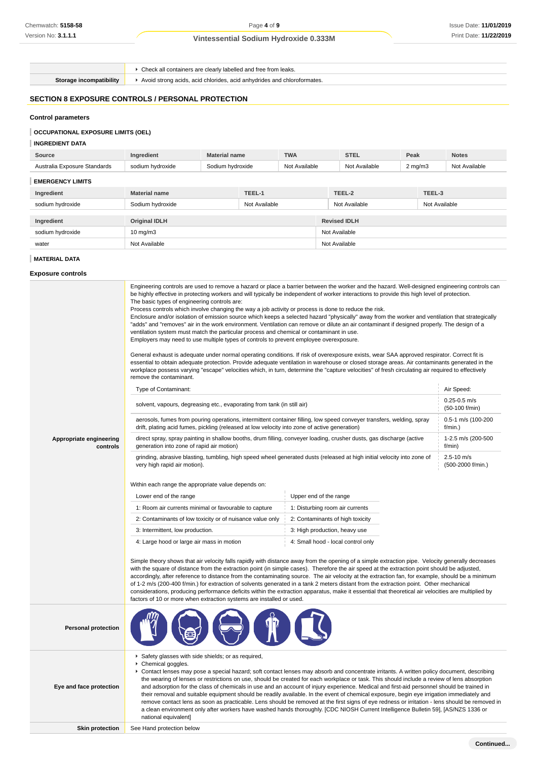Check all containers are clearly labelled and free from leaks.

**Storage incompatibility F** Avoid strong acids, acid chlorides, acid anhydrides and chloroformates.

# **SECTION 8 EXPOSURE CONTROLS / PERSONAL PROTECTION**

## **Control parameters**

## **OCCUPATIONAL EXPOSURE LIMITS (OEL)**

### **INGREDIENT DATA**

| Source                       | Ingredient           | <b>Material name</b> |               | <b>TWA</b>    |               | <b>STEL</b>         | Peak               |               | <b>Notes</b>  |
|------------------------------|----------------------|----------------------|---------------|---------------|---------------|---------------------|--------------------|---------------|---------------|
| Australia Exposure Standards | sodium hydroxide     | Sodium hydroxide     |               | Not Available |               | Not Available       | $2 \text{ mg/m}$ 3 |               | Not Available |
| <b>EMERGENCY LIMITS</b>      |                      |                      |               |               |               |                     |                    |               |               |
| Ingredient                   | <b>Material name</b> |                      | TEEL-1        |               |               | TEEL-2              |                    | TEEL-3        |               |
| sodium hydroxide             | Sodium hydroxide     |                      | Not Available |               |               | Not Available       |                    | Not Available |               |
|                              |                      |                      |               |               |               |                     |                    |               |               |
| Ingredient                   | <b>Original IDLH</b> |                      |               |               |               | <b>Revised IDLH</b> |                    |               |               |
| sodium hydroxide             | $10 \text{ mg/m}$    |                      |               | Not Available |               |                     |                    |               |               |
| water                        | Not Available        |                      |               |               | Not Available |                     |                    |               |               |

### **MATERIAL DATA**

### **Exposure controls**

|                                     | Engineering controls are used to remove a hazard or place a barrier between the worker and the hazard. Well-designed engineering controls can<br>be highly effective in protecting workers and will typically be independent of worker interactions to provide this high level of protection.<br>The basic types of engineering controls are:<br>Process controls which involve changing the way a job activity or process is done to reduce the risk.<br>Enclosure and/or isolation of emission source which keeps a selected hazard "physically" away from the worker and ventilation that strategically<br>"adds" and "removes" air in the work environment. Ventilation can remove or dilute an air contaminant if designed properly. The design of a<br>ventilation system must match the particular process and chemical or contaminant in use.<br>Employers may need to use multiple types of controls to prevent employee overexposure.<br>General exhaust is adequate under normal operating conditions. If risk of overexposure exists, wear SAA approved respirator. Correct fit is<br>essential to obtain adequate protection. Provide adequate ventilation in warehouse or closed storage areas. Air contaminants generated in the<br>workplace possess varying "escape" velocities which, in turn, determine the "capture velocities" of fresh circulating air required to effectively<br>remove the contaminant. |                                  |                                    |  |  |
|-------------------------------------|---------------------------------------------------------------------------------------------------------------------------------------------------------------------------------------------------------------------------------------------------------------------------------------------------------------------------------------------------------------------------------------------------------------------------------------------------------------------------------------------------------------------------------------------------------------------------------------------------------------------------------------------------------------------------------------------------------------------------------------------------------------------------------------------------------------------------------------------------------------------------------------------------------------------------------------------------------------------------------------------------------------------------------------------------------------------------------------------------------------------------------------------------------------------------------------------------------------------------------------------------------------------------------------------------------------------------------------------------------------------------------------------------------------------------------|----------------------------------|------------------------------------|--|--|
|                                     | Type of Contaminant:                                                                                                                                                                                                                                                                                                                                                                                                                                                                                                                                                                                                                                                                                                                                                                                                                                                                                                                                                                                                                                                                                                                                                                                                                                                                                                                                                                                                            |                                  | Air Speed:                         |  |  |
|                                     | solvent, vapours, degreasing etc., evaporating from tank (in still air)                                                                                                                                                                                                                                                                                                                                                                                                                                                                                                                                                                                                                                                                                                                                                                                                                                                                                                                                                                                                                                                                                                                                                                                                                                                                                                                                                         |                                  | $0.25 - 0.5$ m/s<br>(50-100 f/min) |  |  |
|                                     | aerosols, fumes from pouring operations, intermittent container filling, low speed conveyer transfers, welding, spray<br>drift, plating acid fumes, pickling (released at low velocity into zone of active generation)                                                                                                                                                                                                                                                                                                                                                                                                                                                                                                                                                                                                                                                                                                                                                                                                                                                                                                                                                                                                                                                                                                                                                                                                          |                                  | 0.5-1 m/s (100-200<br>f/min.)      |  |  |
| Appropriate engineering<br>controls | direct spray, spray painting in shallow booths, drum filling, conveyer loading, crusher dusts, gas discharge (active<br>generation into zone of rapid air motion)                                                                                                                                                                                                                                                                                                                                                                                                                                                                                                                                                                                                                                                                                                                                                                                                                                                                                                                                                                                                                                                                                                                                                                                                                                                               |                                  | 1-2.5 m/s (200-500<br>f/min)       |  |  |
|                                     | $2.5 - 10$ m/s<br>grinding, abrasive blasting, tumbling, high speed wheel generated dusts (released at high initial velocity into zone of<br>(500-2000 f/min.)<br>very high rapid air motion).                                                                                                                                                                                                                                                                                                                                                                                                                                                                                                                                                                                                                                                                                                                                                                                                                                                                                                                                                                                                                                                                                                                                                                                                                                  |                                  |                                    |  |  |
|                                     | Within each range the appropriate value depends on:                                                                                                                                                                                                                                                                                                                                                                                                                                                                                                                                                                                                                                                                                                                                                                                                                                                                                                                                                                                                                                                                                                                                                                                                                                                                                                                                                                             |                                  |                                    |  |  |
|                                     | Lower end of the range                                                                                                                                                                                                                                                                                                                                                                                                                                                                                                                                                                                                                                                                                                                                                                                                                                                                                                                                                                                                                                                                                                                                                                                                                                                                                                                                                                                                          | Upper end of the range           |                                    |  |  |
|                                     | 1: Room air currents minimal or favourable to capture                                                                                                                                                                                                                                                                                                                                                                                                                                                                                                                                                                                                                                                                                                                                                                                                                                                                                                                                                                                                                                                                                                                                                                                                                                                                                                                                                                           | 1: Disturbing room air currents  |                                    |  |  |
|                                     | 2: Contaminants of low toxicity or of nuisance value only                                                                                                                                                                                                                                                                                                                                                                                                                                                                                                                                                                                                                                                                                                                                                                                                                                                                                                                                                                                                                                                                                                                                                                                                                                                                                                                                                                       | 2: Contaminants of high toxicity |                                    |  |  |
|                                     | 3: Intermittent, low production.                                                                                                                                                                                                                                                                                                                                                                                                                                                                                                                                                                                                                                                                                                                                                                                                                                                                                                                                                                                                                                                                                                                                                                                                                                                                                                                                                                                                |                                  |                                    |  |  |
|                                     | 4: Small hood - local control only<br>4: Large hood or large air mass in motion<br>Simple theory shows that air velocity falls rapidly with distance away from the opening of a simple extraction pipe. Velocity generally decreases<br>with the square of distance from the extraction point (in simple cases). Therefore the air speed at the extraction point should be adjusted,<br>accordingly, after reference to distance from the contaminating source. The air velocity at the extraction fan, for example, should be a minimum<br>of 1-2 m/s (200-400 f/min.) for extraction of solvents generated in a tank 2 meters distant from the extraction point. Other mechanical<br>considerations, producing performance deficits within the extraction apparatus, make it essential that theoretical air velocities are multiplied by<br>factors of 10 or more when extraction systems are installed or used.                                                                                                                                                                                                                                                                                                                                                                                                                                                                                                              |                                  |                                    |  |  |
|                                     |                                                                                                                                                                                                                                                                                                                                                                                                                                                                                                                                                                                                                                                                                                                                                                                                                                                                                                                                                                                                                                                                                                                                                                                                                                                                                                                                                                                                                                 |                                  |                                    |  |  |
| <b>Personal protection</b>          |                                                                                                                                                                                                                                                                                                                                                                                                                                                                                                                                                                                                                                                                                                                                                                                                                                                                                                                                                                                                                                                                                                                                                                                                                                                                                                                                                                                                                                 |                                  |                                    |  |  |
| Eye and face protection             | Safety glasses with side shields; or as required,<br>Chemical goggles.<br>► Contact lenses may pose a special hazard; soft contact lenses may absorb and concentrate irritants. A written policy document, describing<br>the wearing of lenses or restrictions on use, should be created for each workplace or task. This should include a review of lens absorption<br>and adsorption for the class of chemicals in use and an account of injury experience. Medical and first-aid personnel should be trained in<br>their removal and suitable equipment should be readily available. In the event of chemical exposure, begin eye irrigation immediately and<br>remove contact lens as soon as practicable. Lens should be removed at the first signs of eye redness or irritation - lens should be removed in<br>a clean environment only after workers have washed hands thoroughly. [CDC NIOSH Current Intelligence Bulletin 59], [AS/NZS 1336 or<br>national equivalent]                                                                                                                                                                                                                                                                                                                                                                                                                                                 |                                  |                                    |  |  |
| <b>Skin protection</b>              | See Hand protection below                                                                                                                                                                                                                                                                                                                                                                                                                                                                                                                                                                                                                                                                                                                                                                                                                                                                                                                                                                                                                                                                                                                                                                                                                                                                                                                                                                                                       |                                  |                                    |  |  |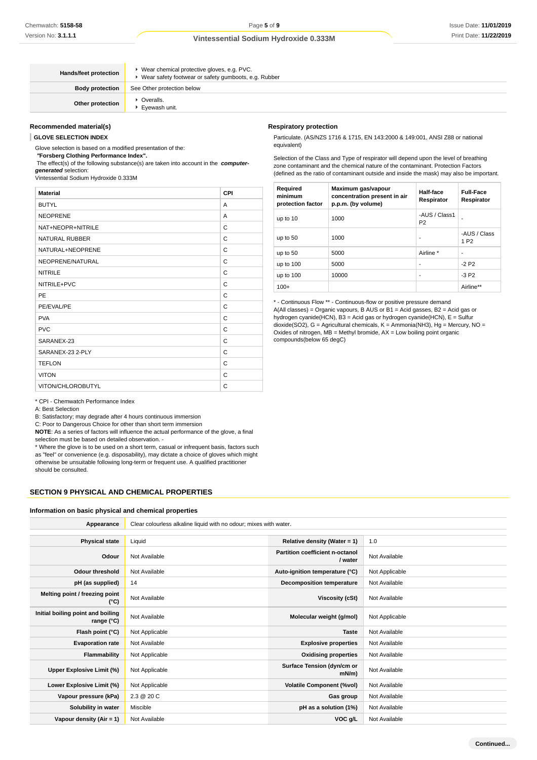| Hands/feet protection  | ▶ Wear chemical protective gloves, e.g. PVC.<br>▶ Wear safety footwear or safety gumboots, e.g. Rubber |
|------------------------|--------------------------------------------------------------------------------------------------------|
| <b>Body protection</b> | See Other protection below                                                                             |
| Other protection       | • Overalls.<br>Evewash unit.                                                                           |

# **Recommended material(s)**

**GLOVE SELECTION INDEX**

Glove selection is based on a modified presentation of the:

 **"Forsberg Clothing Performance Index".**

 The effect(s) of the following substance(s) are taken into account in the **computergenerated** selection:

Vintessential Sodium Hydroxide 0.333M

| <b>Material</b>       | <b>CPI</b> |
|-----------------------|------------|
| <b>BUTYL</b>          | A          |
| <b>NEOPRENE</b>       | A          |
| NAT+NEOPR+NITRILE     | C          |
| <b>NATURAL RUBBER</b> | C          |
| NATURAL+NEOPRENE      | C          |
| NEOPRENE/NATURAL      | C          |
| <b>NITRILE</b>        | C          |
| NITRILE+PVC           | C          |
| PE                    | C          |
| PE/EVAL/PE            | C          |
| <b>PVA</b>            | C          |
| <b>PVC</b>            | C          |
| SARANEX-23            | C          |
| SARANEX-23 2-PLY      | C          |
| <b>TEFLON</b>         | C          |
| <b>VITON</b>          | C          |
| VITON/CHLOROBUTYL     | C          |

#### **Respiratory protection**

Particulate. (AS/NZS 1716 & 1715, EN 143:2000 & 149:001, ANSI Z88 or national equivalent)

Selection of the Class and Type of respirator will depend upon the level of breathing zone contaminant and the chemical nature of the contaminant. Protection Factors (defined as the ratio of contaminant outside and inside the mask) may also be important.

| Required<br>minimum<br>protection factor | Maximum gas/vapour<br>concentration present in air<br>p.p.m. (by volume) | Half-face<br>Respirator         | <b>Full-Face</b><br>Respirator   |
|------------------------------------------|--------------------------------------------------------------------------|---------------------------------|----------------------------------|
| up to 10                                 | 1000                                                                     | -AUS / Class1<br>P <sub>2</sub> |                                  |
| up to $50$                               | 1000                                                                     | ٠                               | -AUS / Class<br>1 P <sub>2</sub> |
| up to 50                                 | 5000                                                                     | Airline *                       |                                  |
| up to $100$                              | 5000                                                                     | ٠                               | $-2P2$                           |
| up to $100$                              | 10000                                                                    | ٠                               | $-3P2$                           |
| $100+$                                   |                                                                          |                                 | Airline**                        |

\* - Continuous Flow \*\* - Continuous-flow or positive pressure demand A(All classes) = Organic vapours, B AUS or B1 = Acid gasses, B2 = Acid gas or hydrogen cyanide(HCN), B3 = Acid gas or hydrogen cyanide(HCN), E = Sulfur dioxide(SO2), G = Agricultural chemicals, K = Ammonia(NH3), Hg = Mercury, NO = Oxides of nitrogen, MB = Methyl bromide, AX = Low boiling point organic compounds(below 65 degC)

\* CPI - Chemwatch Performance Index

A: Best Selection

B: Satisfactory; may degrade after 4 hours continuous immersion

C: Poor to Dangerous Choice for other than short term immersion

**NOTE**: As a series of factors will influence the actual performance of the glove, a final selection must be based on detailed observation. -

\* Where the glove is to be used on a short term, casual or infrequent basis, factors such as "feel" or convenience (e.g. disposability), may dictate a choice of gloves which might otherwise be unsuitable following long-term or frequent use. A qualified practitioner should be consulted.

### **SECTION 9 PHYSICAL AND CHEMICAL PROPERTIES**

#### **Information on basic physical and chemical properties**

| Appearance                                      | Clear colourless alkaline liquid with no odour; mixes with water. |                                            |                |  |  |
|-------------------------------------------------|-------------------------------------------------------------------|--------------------------------------------|----------------|--|--|
|                                                 |                                                                   |                                            |                |  |  |
| <b>Physical state</b>                           | Liquid                                                            | Relative density (Water = 1)               | 1.0            |  |  |
| Odour                                           | Not Available                                                     | Partition coefficient n-octanol<br>/ water | Not Available  |  |  |
| <b>Odour threshold</b>                          | Not Available                                                     | Auto-ignition temperature (°C)             | Not Applicable |  |  |
| pH (as supplied)                                | 14                                                                | <b>Decomposition temperature</b>           | Not Available  |  |  |
| Melting point / freezing point<br>(°C)          | Not Available                                                     | Viscosity (cSt)                            | Not Available  |  |  |
| Initial boiling point and boiling<br>range (°C) | Not Available                                                     | Molecular weight (g/mol)                   | Not Applicable |  |  |
| Flash point (°C)                                | Not Applicable                                                    | <b>Taste</b>                               | Not Available  |  |  |
| <b>Evaporation rate</b>                         | Not Available                                                     | <b>Explosive properties</b>                | Not Available  |  |  |
| Flammability                                    | Not Applicable                                                    | <b>Oxidising properties</b>                | Not Available  |  |  |
| Upper Explosive Limit (%)                       | Not Applicable                                                    | Surface Tension (dyn/cm or<br>$mN/m$ )     | Not Available  |  |  |
| Lower Explosive Limit (%)                       | Not Applicable                                                    | <b>Volatile Component (%vol)</b>           | Not Available  |  |  |
| Vapour pressure (kPa)                           | 2.3 @ 20 C                                                        | Gas group                                  | Not Available  |  |  |
| Solubility in water                             | Miscible                                                          | pH as a solution (1%)                      | Not Available  |  |  |
| Vapour density (Air = 1)                        | Not Available                                                     | VOC g/L                                    | Not Available  |  |  |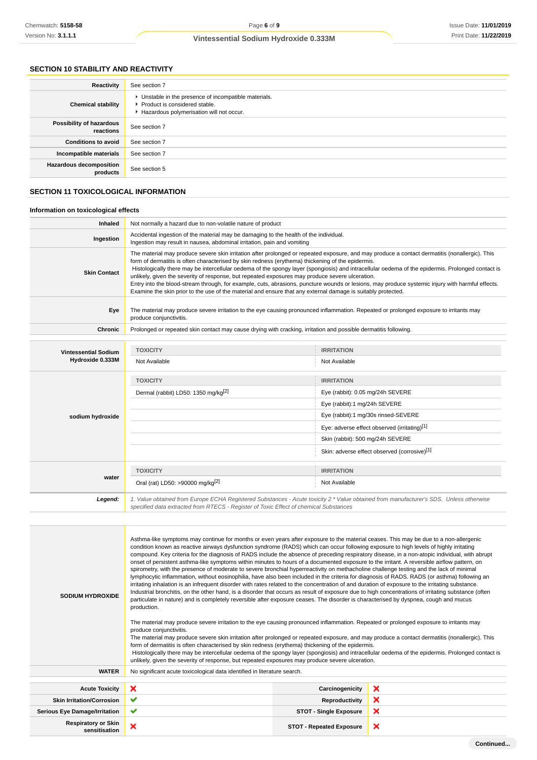# **SECTION 10 STABILITY AND REACTIVITY**

| Reactivity                                 | See section 7                                                                                                                        |
|--------------------------------------------|--------------------------------------------------------------------------------------------------------------------------------------|
| <b>Chemical stability</b>                  | • Unstable in the presence of incompatible materials.<br>▶ Product is considered stable.<br>Hazardous polymerisation will not occur. |
| Possibility of hazardous<br>reactions      | See section 7                                                                                                                        |
| <b>Conditions to avoid</b>                 | See section 7                                                                                                                        |
| Incompatible materials                     | See section 7                                                                                                                        |
| <b>Hazardous decomposition</b><br>products | See section 5                                                                                                                        |

# **SECTION 11 TOXICOLOGICAL INFORMATION**

### **Information on toxicological effects**

| <b>Inhaled</b>       | Not normally a hazard due to non-volatile nature of product                                                                                                                                                                                                                                                                                                                                                                                                                                                                                                                                                                                                                                                                                                                     |
|----------------------|---------------------------------------------------------------------------------------------------------------------------------------------------------------------------------------------------------------------------------------------------------------------------------------------------------------------------------------------------------------------------------------------------------------------------------------------------------------------------------------------------------------------------------------------------------------------------------------------------------------------------------------------------------------------------------------------------------------------------------------------------------------------------------|
| Ingestion            | Accidental ingestion of the material may be damaging to the health of the individual.<br>Ingestion may result in nausea, abdominal irritation, pain and vomiting                                                                                                                                                                                                                                                                                                                                                                                                                                                                                                                                                                                                                |
| <b>Skin Contact</b>  | The material may produce severe skin irritation after prolonged or repeated exposure, and may produce a contact dermatitis (nonallergic). This<br>form of dermatitis is often characterised by skin redness (erythema) thickening of the epidermis.<br>Histologically there may be intercellular oedema of the spongy layer (spongiosis) and intracellular oedema of the epidermis. Prolonged contact is<br>unlikely, given the severity of response, but repeated exposures may produce severe ulceration.<br>Entry into the blood-stream through, for example, cuts, abrasions, puncture wounds or lesions, may produce systemic injury with harmful effects.<br>Examine the skin prior to the use of the material and ensure that any external damage is suitably protected. |
| Eye                  | The material may produce severe irritation to the eye causing pronounced inflammation. Repeated or prolonged exposure to irritants may<br>produce conjunctivitis.                                                                                                                                                                                                                                                                                                                                                                                                                                                                                                                                                                                                               |
| Chronic              | Prolonged or repeated skin contact may cause drying with cracking, irritation and possible dermatitis following.                                                                                                                                                                                                                                                                                                                                                                                                                                                                                                                                                                                                                                                                |
|                      |                                                                                                                                                                                                                                                                                                                                                                                                                                                                                                                                                                                                                                                                                                                                                                                 |
| Vintossantial Sodium | <b>TOXICITY</b><br><b>IRRITATION</b>                                                                                                                                                                                                                                                                                                                                                                                                                                                                                                                                                                                                                                                                                                                                            |

| <b>Vintessential Sodium</b> | <b>TOXIGHY</b>                                                                                                                                                                                                                  | <b>IKKIJAIJON</b>                            |  |
|-----------------------------|---------------------------------------------------------------------------------------------------------------------------------------------------------------------------------------------------------------------------------|----------------------------------------------|--|
| Hydroxide 0.333M            | Not Available                                                                                                                                                                                                                   | Not Available                                |  |
|                             | <b>TOXICITY</b>                                                                                                                                                                                                                 | <b>IRRITATION</b>                            |  |
|                             | Dermal (rabbit) LD50: 1350 mg/kg <sup>[2]</sup>                                                                                                                                                                                 | Eye (rabbit): 0.05 mg/24h SEVERE             |  |
|                             |                                                                                                                                                                                                                                 | Eye (rabbit):1 mg/24h SEVERE                 |  |
| sodium hydroxide            |                                                                                                                                                                                                                                 | Eye (rabbit):1 mg/30s rinsed-SEVERE          |  |
|                             |                                                                                                                                                                                                                                 | Eye: adverse effect observed (irritating)[1] |  |
|                             |                                                                                                                                                                                                                                 | Skin (rabbit): 500 mg/24h SEVERE             |  |
|                             |                                                                                                                                                                                                                                 | Skin: adverse effect observed (corrosive)[1] |  |
|                             | <b>TOXICITY</b>                                                                                                                                                                                                                 | <b>IRRITATION</b>                            |  |
| water                       | Oral (rat) LD50: >90000 mg/kg[2]                                                                                                                                                                                                | Not Available                                |  |
| Legend:                     | 1. Value obtained from Europe ECHA Registered Substances - Acute toxicity 2.* Value obtained from manufacturer's SDS. Unless otherwise<br>specified data extracted from RTECS - Register of Toxic Effect of chemical Substances |                                              |  |

| <b>SODIUM HYDROXIDE</b>                     | Asthma-like symptoms may continue for months or even years after exposure to the material ceases. This may be due to a non-allergenic<br>condition known as reactive airways dysfunction syndrome (RADS) which can occur following exposure to high levels of highly irritating<br>compound. Key criteria for the diagnosis of RADS include the absence of preceding respiratory disease, in a non-atopic individual, with abrupt<br>onset of persistent asthma-like symptoms within minutes to hours of a documented exposure to the irritant. A reversible airflow pattern, on<br>spirometry, with the presence of moderate to severe bronchial hyperreactivity on methacholine challenge testing and the lack of minimal<br>lymphocytic inflammation, without eosinophilia, have also been included in the criteria for diagnosis of RADS. RADS (or asthma) following an<br>irritating inhalation is an infrequent disorder with rates related to the concentration of and duration of exposure to the irritating substance.<br>Industrial bronchitis, on the other hand, is a disorder that occurs as result of exposure due to high concentrations of irritating substance (often<br>particulate in nature) and is completely reversible after exposure ceases. The disorder is characterised by dyspnea, cough and mucus<br>production.<br>The material may produce severe irritation to the eye causing pronounced inflammation. Repeated or prolonged exposure to irritants may<br>produce conjunctivitis.<br>The material may produce severe skin irritation after prolonged or repeated exposure, and may produce a contact dermatitis (nonallergic). This<br>form of dermatitis is often characterised by skin redness (erythema) thickening of the epidermis.<br>Histologically there may be intercellular oedema of the spongy layer (spongiosis) and intracellular oedema of the epidermis. Prolonged contact is<br>unlikely, given the severity of response, but repeated exposures may produce severe ulceration. |                                 |   |  |  |  |
|---------------------------------------------|-----------------------------------------------------------------------------------------------------------------------------------------------------------------------------------------------------------------------------------------------------------------------------------------------------------------------------------------------------------------------------------------------------------------------------------------------------------------------------------------------------------------------------------------------------------------------------------------------------------------------------------------------------------------------------------------------------------------------------------------------------------------------------------------------------------------------------------------------------------------------------------------------------------------------------------------------------------------------------------------------------------------------------------------------------------------------------------------------------------------------------------------------------------------------------------------------------------------------------------------------------------------------------------------------------------------------------------------------------------------------------------------------------------------------------------------------------------------------------------------------------------------------------------------------------------------------------------------------------------------------------------------------------------------------------------------------------------------------------------------------------------------------------------------------------------------------------------------------------------------------------------------------------------------------------------------------------------------------------------------------------------------------------------|---------------------------------|---|--|--|--|
| <b>WATER</b>                                | No significant acute toxicological data identified in literature search.                                                                                                                                                                                                                                                                                                                                                                                                                                                                                                                                                                                                                                                                                                                                                                                                                                                                                                                                                                                                                                                                                                                                                                                                                                                                                                                                                                                                                                                                                                                                                                                                                                                                                                                                                                                                                                                                                                                                                          |                                 |   |  |  |  |
|                                             |                                                                                                                                                                                                                                                                                                                                                                                                                                                                                                                                                                                                                                                                                                                                                                                                                                                                                                                                                                                                                                                                                                                                                                                                                                                                                                                                                                                                                                                                                                                                                                                                                                                                                                                                                                                                                                                                                                                                                                                                                                   |                                 |   |  |  |  |
| <b>Acute Toxicity</b>                       | ×<br>×<br>Carcinogenicity                                                                                                                                                                                                                                                                                                                                                                                                                                                                                                                                                                                                                                                                                                                                                                                                                                                                                                                                                                                                                                                                                                                                                                                                                                                                                                                                                                                                                                                                                                                                                                                                                                                                                                                                                                                                                                                                                                                                                                                                         |                                 |   |  |  |  |
| <b>Skin Irritation/Corrosion</b>            | ✔                                                                                                                                                                                                                                                                                                                                                                                                                                                                                                                                                                                                                                                                                                                                                                                                                                                                                                                                                                                                                                                                                                                                                                                                                                                                                                                                                                                                                                                                                                                                                                                                                                                                                                                                                                                                                                                                                                                                                                                                                                 | ×<br><b>Reproductivity</b>      |   |  |  |  |
| <b>Serious Eye Damage/Irritation</b>        | ✔                                                                                                                                                                                                                                                                                                                                                                                                                                                                                                                                                                                                                                                                                                                                                                                                                                                                                                                                                                                                                                                                                                                                                                                                                                                                                                                                                                                                                                                                                                                                                                                                                                                                                                                                                                                                                                                                                                                                                                                                                                 | <b>STOT - Single Exposure</b>   | × |  |  |  |
| <b>Respiratory or Skin</b><br>sensitisation | ×                                                                                                                                                                                                                                                                                                                                                                                                                                                                                                                                                                                                                                                                                                                                                                                                                                                                                                                                                                                                                                                                                                                                                                                                                                                                                                                                                                                                                                                                                                                                                                                                                                                                                                                                                                                                                                                                                                                                                                                                                                 | <b>STOT - Repeated Exposure</b> | × |  |  |  |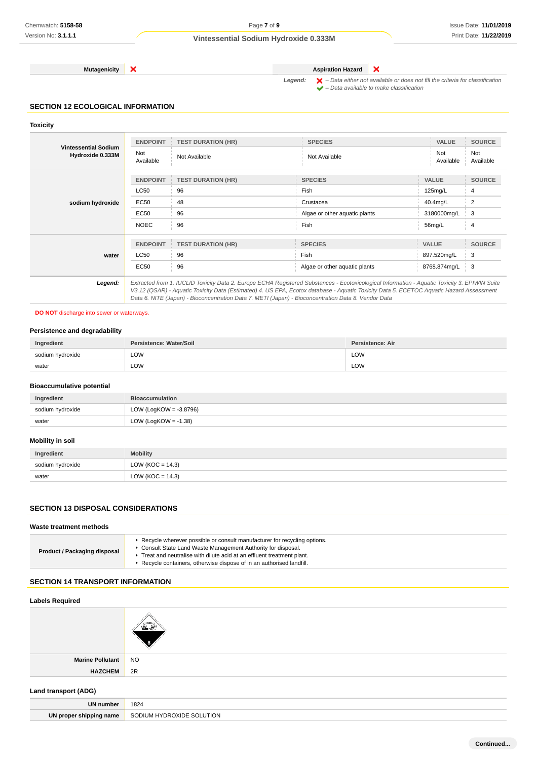**Mutagenicity X Aspiration Hazard** 

Legend:  $\mathsf{X}$  – Data either not available or does not fill the criteria for classification  $\blacktriangleright$  – Data available to make classification

×

## **SECTION 12 ECOLOGICAL INFORMATION**

### **Toxicity**

| <b>Vintessential Sodium</b><br>Hydroxide 0.333M | <b>ENDPOINT</b>  | <b>TEST DURATION (HR)</b>                                                                                                                     | <b>SPECIES</b>                | VALUE            | <b>SOURCE</b>    |
|-------------------------------------------------|------------------|-----------------------------------------------------------------------------------------------------------------------------------------------|-------------------------------|------------------|------------------|
|                                                 | Not<br>Available | Not Available                                                                                                                                 | Not Available                 | Not<br>Available | Not<br>Available |
|                                                 | <b>ENDPOINT</b>  | <b>TEST DURATION (HR)</b>                                                                                                                     | <b>SPECIES</b>                | <b>VALUE</b>     | <b>SOURCE</b>    |
|                                                 | <b>LC50</b>      | 96                                                                                                                                            | Fish                          | 125mg/L          | 4                |
| sodium hydroxide                                | EC50             | 48                                                                                                                                            | Crustacea                     | 40.4mg/L         | $\overline{2}$   |
|                                                 | <b>EC50</b>      | 96                                                                                                                                            | Algae or other aquatic plants | 3180000mg/L      | 3                |
|                                                 | <b>NOEC</b>      | 96                                                                                                                                            | Fish                          | 56mg/L           | 4                |
|                                                 | <b>ENDPOINT</b>  |                                                                                                                                               | <b>SPECIES</b>                | <b>VALUE</b>     | <b>SOURCE</b>    |
|                                                 |                  | <b>TEST DURATION (HR)</b>                                                                                                                     |                               |                  |                  |
| water                                           | LC50             | 96                                                                                                                                            | Fish                          | 897.520mg/L      | 3                |
|                                                 | EC50             | 96                                                                                                                                            | Algae or other aquatic plants | 8768.874mg/L     | 3                |
| Legend:                                         |                  | Extracted from 1. IUCLID Toxicity Data 2. Europe ECHA Registered Substances - Ecotoxicological Information - Aquatic Toxicity 3. EPIWIN Suite |                               |                  |                  |

V3.12 (QSAR) - Aquatic Toxicity Data (Estimated) 4. US EPA, Ecotox database - Aquatic Toxicity Data 5. ECETOC Aquatic Hazard Assessment Data 6. NITE (Japan) - Bioconcentration Data 7. METI (Japan) - Bioconcentration Data 8. Vendor Data

### **DO NOT** discharge into sewer or waterways.

## **Persistence and degradability**

| Ingredient       | Persistence: Water/Soil | Persistence: Air |
|------------------|-------------------------|------------------|
| sodium hydroxide | LOW                     | LOW              |
| water            | LOW<br>____             | LOW              |

### **Bioaccumulative potential**

| Ingredient       | <b>Bioaccumulation</b>    |
|------------------|---------------------------|
| sodium hydroxide | LOW (LogKOW = $-3.8796$ ) |
| water            | LOW (LogKOW = $-1.38$ )   |

# **Mobility in soil**

| Ingredient       | <b>Mobility</b>      |
|------------------|----------------------|
| sodium hydroxide | LOW ( $KOC = 14.3$ ) |
| water            | LOW (KOC = $14.3$ )  |

# **SECTION 13 DISPOSAL CONSIDERATIONS**

## **Waste treatment methods**

| ► Recycle wherever possible or consult manufacturer for recycling options.<br>Consult State Land Waste Management Authority for disposal.<br>Product / Packaging disposal<br>Treat and neutralise with dilute acid at an effluent treatment plant.<br>Recycle containers, otherwise dispose of in an authorised landfill. |
|---------------------------------------------------------------------------------------------------------------------------------------------------------------------------------------------------------------------------------------------------------------------------------------------------------------------------|
|---------------------------------------------------------------------------------------------------------------------------------------------------------------------------------------------------------------------------------------------------------------------------------------------------------------------------|

# **SECTION 14 TRANSPORT INFORMATION**

### **Labels Required**

| Marine Pollutant NO |    |
|---------------------|----|
| <b>HAZCHEM</b>      | 2R |

#### **Land transport (ADG)**

| <b>UN number</b>        | 1824<br>___                           |
|-------------------------|---------------------------------------|
| UN proper shipping name | <b>SODIUM HYDROXIDE</b><br>: SOLUTION |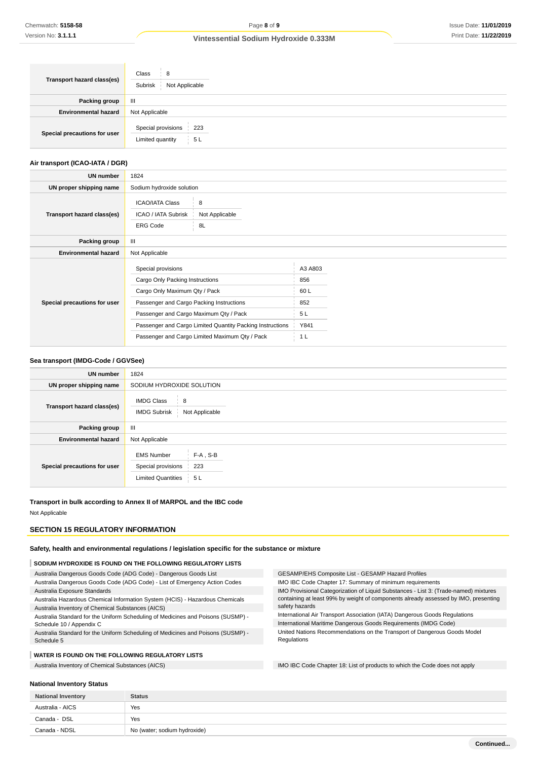| Transport hazard class(es)   | Class<br>8<br>Subrisk<br>Not Applicable             |  |
|------------------------------|-----------------------------------------------------|--|
| <b>Packing group</b>         | $\mathbf{m}$                                        |  |
| <b>Environmental hazard</b>  | Not Applicable                                      |  |
| Special precautions for user | Special provisions<br>223<br>5L<br>Limited quantity |  |

# **Air transport (ICAO-IATA / DGR)**

| UN number                    | 1824                                                                                                                                                                                                                                                                                        |                                                     |  |
|------------------------------|---------------------------------------------------------------------------------------------------------------------------------------------------------------------------------------------------------------------------------------------------------------------------------------------|-----------------------------------------------------|--|
| UN proper shipping name      | Sodium hydroxide solution                                                                                                                                                                                                                                                                   |                                                     |  |
| Transport hazard class(es)   | <b>ICAO/IATA Class</b><br>8<br>ICAO / IATA Subrisk<br>Not Applicable<br><b>ERG Code</b><br>8L                                                                                                                                                                                               |                                                     |  |
| Packing group                | $\mathbf{III}$                                                                                                                                                                                                                                                                              |                                                     |  |
| <b>Environmental hazard</b>  | Not Applicable                                                                                                                                                                                                                                                                              |                                                     |  |
| Special precautions for user | Special provisions<br>Cargo Only Packing Instructions<br>Cargo Only Maximum Qty / Pack<br>Passenger and Cargo Packing Instructions<br>Passenger and Cargo Maximum Qty / Pack<br>Passenger and Cargo Limited Quantity Packing Instructions<br>Passenger and Cargo Limited Maximum Qty / Pack | A3 A803<br>856<br>60 L<br>852<br>5 L<br>Y841<br>1 L |  |

# **Sea transport (IMDG-Code / GGVSee)**

| <b>UN number</b>             | 1824                                                                                              |
|------------------------------|---------------------------------------------------------------------------------------------------|
| UN proper shipping name      | SODIUM HYDROXIDE SOLUTION                                                                         |
| Transport hazard class(es)   | <b>IMDG Class</b><br>8<br>Not Applicable<br><b>IMDG Subrisk</b>                                   |
| Packing group                | $\mathbf{III}$                                                                                    |
| <b>Environmental hazard</b>  | Not Applicable                                                                                    |
| Special precautions for user | $F-A$ , S-B<br><b>EMS Number</b><br>Special provisions<br>223<br><b>Limited Quantities</b><br>5 L |

### **Transport in bulk according to Annex II of MARPOL and the IBC code**

Not Applicable

### **SECTION 15 REGULATORY INFORMATION**

**Safety, health and environmental regulations / legislation specific for the substance or mixture**

## **SODIUM HYDROXIDE IS FOUND ON THE FOLLOWING REGULATORY LISTS**

| Australia Dangerous Goods Code (ADG Code) - Dangerous Goods List                 | GESAMP/EHS Composite List - GESAMP Hazard Profiles                                                    |  |
|----------------------------------------------------------------------------------|-------------------------------------------------------------------------------------------------------|--|
| Australia Dangerous Goods Code (ADG Code) - List of Emergency Action Codes       | IMO IBC Code Chapter 17: Summary of minimum requirements                                              |  |
| Australia Exposure Standards                                                     | IMO Provisional Categorization of Liquid Substances - List 3: (Trade-named) mixtures                  |  |
| Australia Hazardous Chemical Information System (HCIS) - Hazardous Chemicals     | containing at least 99% by weight of components already assessed by IMO, presenting<br>safety hazards |  |
| Australia Inventory of Chemical Substances (AICS)                                |                                                                                                       |  |
| Australia Standard for the Uniform Scheduling of Medicines and Poisons (SUSMP) - | International Air Transport Association (IATA) Dangerous Goods Regulations                            |  |
| Schedule 10 / Appendix C                                                         | International Maritime Dangerous Goods Requirements (IMDG Code)                                       |  |
| Australia Standard for the Uniform Scheduling of Medicines and Poisons (SUSMP) - | United Nations Recommendations on the Transport of Dangerous Goods Model                              |  |
| Schedule 5                                                                       | Regulations                                                                                           |  |
|                                                                                  |                                                                                                       |  |
| WATER IS FOUND ON THE FOLLOWING REGULATORY LISTS                                 |                                                                                                       |  |
| Australia Inventory of Chemical Substances (AICS)                                | IMO IBC Code Chapter 18: List of products to which the Code does not apply                            |  |

#### **National Inventory Status**

| <b>National Inventory</b> | <b>Status</b>                |
|---------------------------|------------------------------|
| Australia - AICS          | Yes                          |
| Canada - DSL              | Yes                          |
| Canada - NDSL             | No (water; sodium hydroxide) |